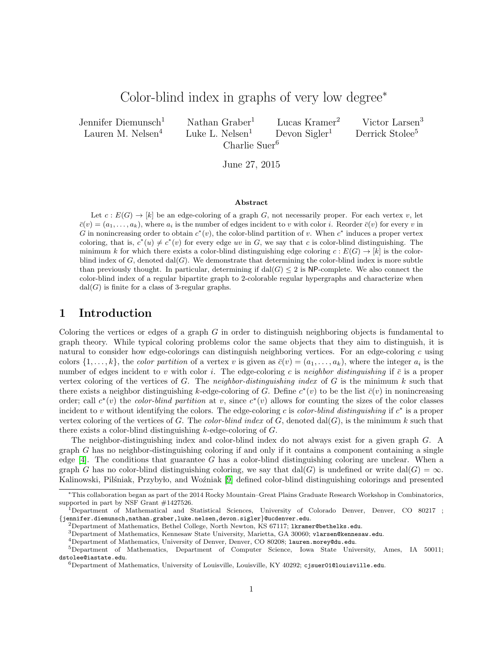# Color-blind index in graphs of very low degree<sup>∗</sup>

Jennifer Diemunsch<sup>1</sup> Nathan Graber<sup>1</sup> Lucas Kramer<sup>2</sup> Victor Larsen<sup>3</sup> Lauren M. Nelsen<sup>4</sup> Luke L. Nelsen<sup>1</sup> Devon Sigler<sup>1</sup> Derrick Stolee<sup>5</sup>

Charlie Suer<sup>6</sup>

June 27, 2015

### Abstract

Let  $c : E(G) \to [k]$  be an edge-coloring of a graph G, not necessarily proper. For each vertex v, let  $\bar{c}(v) = (a_1, \ldots, a_k)$ , where  $a_i$  is the number of edges incident to v with color i. Reorder  $\bar{c}(v)$  for every v in G in nonincreasing order to obtain  $c^*(v)$ , the color-blind partition of v. When  $c^*$  induces a proper vertex coloring, that is,  $c^*(u) \neq c^*(v)$  for every edge uv in G, we say that c is color-blind distinguishing. The minimum k for which there exists a color-blind distinguishing edge coloring  $c : E(G) \to [k]$  is the colorblind index of  $G$ , denoted  $dal(G)$ . We demonstrate that determining the color-blind index is more subtle than previously thought. In particular, determining if  $\text{dal}(G) \leq 2$  is NP-complete. We also connect the color-blind index of a regular bipartite graph to 2-colorable regular hypergraphs and characterize when  $dal(G)$  is finite for a class of 3-regular graphs.

# 1 Introduction

Coloring the vertices or edges of a graph  $G$  in order to distinguish neighboring objects is fundamental to graph theory. While typical coloring problems color the same objects that they aim to distinguish, it is natural to consider how edge-colorings can distinguish neighboring vertices. For an edge-coloring  $c$  using colors  $\{1,\ldots,k\}$ , the *color partition* of a vertex v is given as  $\bar{c}(v) = (a_1,\ldots,a_k)$ , where the integer  $a_i$  is the number of edges incident to v with color i. The edge-coloring c is neighbor distinguishing if  $\bar{c}$  is a proper vertex coloring of the vertices of G. The neighbor-distinguishing index of G is the minimum k such that there exists a neighbor distinguishing k-edge-coloring of G. Define  $c^*(v)$  to be the list  $\bar{c}(v)$  in nonincreasing order; call  $c^*(v)$  the *color-blind partition* at v, since  $c^*(v)$  allows for counting the sizes of the color classes incident to v without identifying the colors. The edge-coloring c is color-blind distinguishing if  $c^*$  is a proper vertex coloring of the vertices of G. The *color-blind index* of G, denoted dal $(G)$ , is the minimum k such that there exists a color-blind distinguishing  $k$ -edge-coloring of  $G$ .

The neighbor-distinguishing index and color-blind index do not always exist for a given graph G. A graph  $G$  has no neighbor-distinguishing coloring if and only if it contains a component containing a single edge [\[4\]](#page-9-0). The conditions that guarantee G has a color-blind distinguishing coloring are unclear. When a graph G has no color-blind distinguishing coloring, we say that dal(G) is undefined or write dal(G) =  $\infty$ . Kalinowski, Pilśniak, Przybyło, and Woźniak [\[9\]](#page-9-1) defined color-blind distinguishing colorings and presented

 $3$ Department of Mathematics, Kennesaw State University, Marietta, GA 30060; vlarsen@kennesaw.edu.

<sup>∗</sup>This collaboration began as part of the 2014 Rocky Mountain–Great Plains Graduate Research Workshop in Combinatorics, supported in part by NSF Grant #1427526.

<sup>1</sup>Department of Mathematical and Statistical Sciences, University of Colorado Denver, Denver, CO 80217 ; {jennifer.diemunsch,nathan.graber,luke.nelsen,devon.sigler}@ucdenver.edu.

<sup>&</sup>lt;sup>2</sup>Department of Mathematics, Bethel College, North Newton, KS 67117; 1kramer@bethelks.edu.

<sup>4</sup>Department of Mathematics, University of Denver, Denver, CO 80208; lauren.morey@du.edu.

<sup>5</sup>Department of Mathematics, Department of Computer Science, Iowa State University, Ames, IA 50011; dstolee@iastate.edu.

 $6$ Department of Mathematics, University of Louisville, Louisville, KY 40292; cjsuer01@louisville.edu.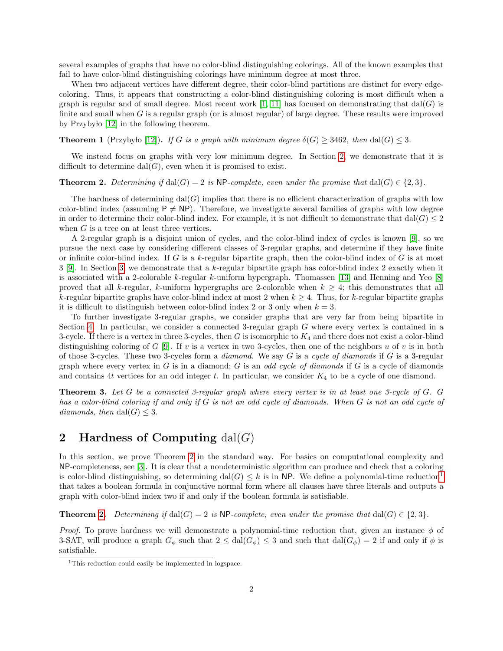several examples of graphs that have no color-blind distinguishing colorings. All of the known examples that fail to have color-blind distinguishing colorings have minimum degree at most three.

When two adjacent vertices have different degree, their color-blind partitions are distinct for every edgecoloring. Thus, it appears that constructing a color-blind distinguishing coloring is most difficult when a graph is regular and of small degree. Most recent work [\[1,](#page-9-2) [11\]](#page-9-3) has focused on demonstrating that  $dal(G)$  is finite and small when  $G$  is a regular graph (or is almost regular) of large degree. These results were improved by Przybyło [\[12\]](#page-9-4) in the following theorem.

**Theorem 1** (Przybyło [\[12\]](#page-9-4)). If G is a graph with minimum degree  $\delta(G) \geq 3462$ , then dal(G)  $\leq 3$ .

We instead focus on graphs with very low minimum degree. In Section [2,](#page-1-0) we demonstrate that it is difficult to determine  $\text{dal}(G)$ , even when it is promised to exist.

### <span id="page-1-1"></span>**Theorem 2.** Determining if  $dal(G) = 2$  is NP-complete, even under the promise that  $dal(G) \in \{2, 3\}$ .

The hardness of determining  $dal(G)$  implies that there is no efficient characterization of graphs with low color-blind index (assuming  $P \neq NP$ ). Therefore, we investigate several families of graphs with low degree in order to determine their color-blind index. For example, it is not difficult to demonstrate that dal( $G$ )  $\leq$  2 when G is a tree on at least three vertices.

A 2-regular graph is a disjoint union of cycles, and the color-blind index of cycles is known [\[9\]](#page-9-1), so we pursue the next case by considering different classes of 3-regular graphs, and determine if they have finite or infinite color-blind index. If G is a  $k$ -regular bipartite graph, then the color-blind index of G is at most 3 [\[9\]](#page-9-1). In Section [3,](#page-4-0) we demonstrate that a k-regular bipartite graph has color-blind index 2 exactly when it is associated with a 2-colorable k-regular k-uniform hypergraph. Thomassen [\[13\]](#page-9-5) and Henning and Yeo [\[8\]](#page-9-6) proved that all k-regular, k-uniform hypergraphs are 2-colorable when  $k \geq 4$ ; this demonstrates that all k-regular bipartite graphs have color-blind index at most 2 when  $k \geq 4$ . Thus, for k-regular bipartite graphs it is difficult to distinguish between color-blind index 2 or 3 only when  $k = 3$ .

To further investigate 3-regular graphs, we consider graphs that are very far from being bipartite in Section [4.](#page-5-0) In particular, we consider a connected 3-regular graph G where every vertex is contained in a 3-cycle. If there is a vertex in three 3-cycles, then  $G$  is isomorphic to  $K_4$  and there does not exist a color-blind distinguishing coloring of G [\[9\]](#page-9-1). If v is a vertex in two 3-cycles, then one of the neighbors u of v is in both of those 3-cycles. These two 3-cycles form a *diamond*. We say  $G$  is a *cycle of diamonds* if  $G$  is a 3-regular graph where every vertex in  $G$  is in a diamond;  $G$  is an odd cycle of diamonds if  $G$  is a cycle of diamonds and contains 4t vertices for an odd integer t. In particular, we consider  $K_4$  to be a cycle of one diamond.

<span id="page-1-3"></span>Theorem 3. Let G be a connected 3-regular graph where every vertex is in at least one 3-cycle of G. G has a color-blind coloring if and only if G is not an odd cycle of diamonds. When G is not an odd cycle of diamonds, then dal(G)  $\leq$  3.

# <span id="page-1-0"></span>2 Hardness of Computing  $dal(G)$

In this section, we prove Theorem [2](#page-1-1) in the standard way. For basics on computational complexity and NP-completeness, see [\[3\]](#page-9-7). It is clear that a nondeterministic algorithm can produce and check that a coloring is color-blind distinguishing, so determining dal(G)  $\leq k$  is in NP. We define a polynomial-time reduction<sup>[1](#page-1-2)</sup> that takes a boolean formula in conjunctive normal form where all clauses have three literals and outputs a graph with color-blind index two if and only if the boolean formula is satisfiable.

**Theorem [2.](#page-1-1)** Determining if  $\text{dal}(G) = 2$  is NP-complete, even under the promise that  $\text{dal}(G) \in \{2, 3\}$ .

*Proof.* To prove hardness we will demonstrate a polynomial-time reduction that, given an instance  $\phi$  of 3-SAT, will produce a graph  $G_{\phi}$  such that  $2 \leq \text{dal}(G_{\phi}) \leq 3$  and such that  $\text{dal}(G_{\phi}) = 2$  if and only if  $\phi$  is satisfiable.

<span id="page-1-2"></span><sup>&</sup>lt;sup>1</sup>This reduction could easily be implemented in logspace.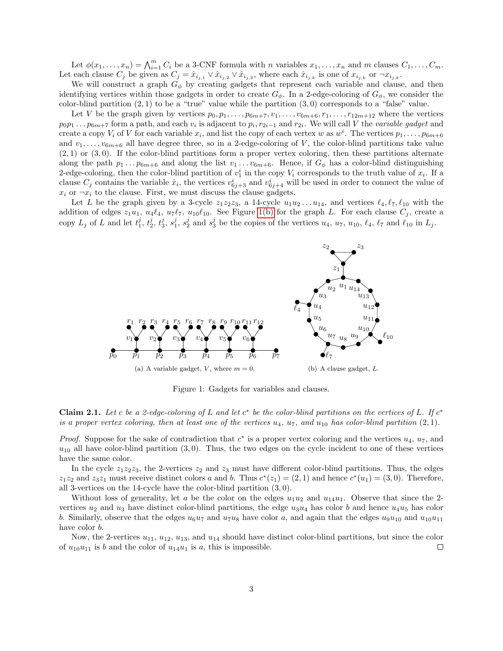Let  $\phi(x_1,\ldots,x_n) = \bigwedge_{i=1}^m C_i$  be a 3-CNF formula with n variables  $x_1,\ldots,x_n$  and m clauses  $C_1,\ldots,C_m$ . Let each clause  $C_j$  be given as  $C_j = \hat{x}_{i_{j,1}} \vee \hat{x}_{i_{j,2}} \vee \hat{x}_{i_{j,3}}$ , where each  $\hat{x}_{i_{j,k}}$  is one of  $x_{i_{j,k}}$  or  $\neg x_{i_{j,k}}$ .

We will construct a graph  $G_{\phi}$  by creating gadgets that represent each variable and clause, and then identifying vertices within those gadgets in order to create  $G_{\phi}$ . In a 2-edge-coloring of  $G_{\phi}$ , we consider the color-blind partition  $(2,1)$  to be a "true" value while the partition  $(3,0)$  corresponds to a "false" value.

Let V be the graph given by vertices  $p_0, p_1, \ldots, p_{6m+7}, v_1, \ldots, v_{6m+6}, r_1, \ldots, r_{12m+12}$  where the vertices  $p_0p_1 \ldots p_{6m+7}$  form a path, and each  $v_i$  is adjacent to  $p_i, r_{2i-1}$  and  $r_{2i}$ . We will call V the variable gadget and create a copy  $V_i$  of V for each variable  $x_i$ , and list the copy of each vertex w as  $w^i$ . The vertices  $p_1, \ldots, p_{6m+6}$ and  $v_1, \ldots, v_{6m+6}$  all have degree three, so in a 2-edge-coloring of V, the color-blind partitions take value  $(2, 1)$  or  $(3, 0)$ . If the color-blind partitions form a proper vertex coloring, then these partitions alternate along the path  $p_1 \ldots p_{6m+6}$  and along the list  $v_1 \ldots v_{6m+6}$ . Hence, if  $G_\phi$  has a color-blind distinguishing 2-edge-coloring, then the color-blind partition of  $v_1^i$  in the copy  $V_i$  corresponds to the truth value of  $x_i$ . If a clause  $C_j$  contains the variable  $\hat{x}_i$ , the vertices  $v_{6j+3}^i$  and  $v_{6j+4}^i$  will be used in order to connect the value of  $x_i$  or  $\neg x_i$  to the clause. First, we must discuss the clause gadgets.

Let L be the graph given by a 3-cycle  $z_1z_2z_3$ , a 14-cycle  $u_1u_2 \ldots u_{14}$ , and vertices  $\ell_4, \ell_7, \ell_{10}$  with the addition of edges  $z_1u_1$ ,  $u_4\ell_4$ ,  $u_7\ell_7$ ,  $u_{10}\ell_{10}$ . See Figure [1\(b\)](#page-2-0) for the graph L. For each clause  $C_j$ , create a copy  $L_j$  of L and let  $t_1^j$ ,  $t_2^j$ ,  $t_3^j$ ,  $s_1^j$ ,  $s_2^j$  and  $s_3^j$  be the copies of the vertices  $u_4$ ,  $u_7$ ,  $u_{10}$ ,  $\ell_4$ ,  $\ell_7$  and  $\ell_{10}$  in  $L_j$ .



<span id="page-2-0"></span>Figure 1: Gadgets for variables and clauses.

<span id="page-2-1"></span>Claim 2.1. Let c be a 2-edge-coloring of L and let  $c^*$  be the color-blind partitions on the vertices of L. If  $c^*$ is a proper vertex coloring, then at least one of the vertices  $u_4$ ,  $u_7$ , and  $u_{10}$  has color-blind partition  $(2, 1)$ .

*Proof.* Suppose for the sake of contradiction that  $c^*$  is a proper vertex coloring and the vertices  $u_4$ ,  $u_7$ , and  $u_{10}$  all have color-blind partition (3,0). Thus, the two edges on the cycle incident to one of these vertices have the same color.

In the cycle  $z_1z_2z_3$ , the 2-vertices  $z_2$  and  $z_3$  must have different color-blind partitions. Thus, the edges  $z_1z_2$  and  $z_3z_1$  must receive distinct colors a and b. Thus  $c^*(z_1) = (2,1)$  and hence  $c^*(u_1) = (3,0)$ . Therefore, all 3-vertices on the 14-cycle have the color-blind partition (3, 0).

Without loss of generality, let a be the color on the edges  $u_1u_2$  and  $u_1_4u_1$ . Observe that since the 2vertices  $u_2$  and  $u_3$  have distinct color-blind partitions, the edge  $u_3u_4$  has color b and hence  $u_4u_5$  has color b. Similarly, observe that the edges  $u_6u_7$  and  $u_7u_8$  have color a, and again that the edges  $u_9u_{10}$  and  $u_{10}u_{11}$ have color b.

Now, the 2-vertices  $u_{11}$ ,  $u_{12}$ ,  $u_{13}$ , and  $u_{14}$  should have distinct color-blind partitions, but since the color of  $u_{10}u_{11}$  is b and the color of  $u_{14}u_1$  is a, this is impossible.  $\Box$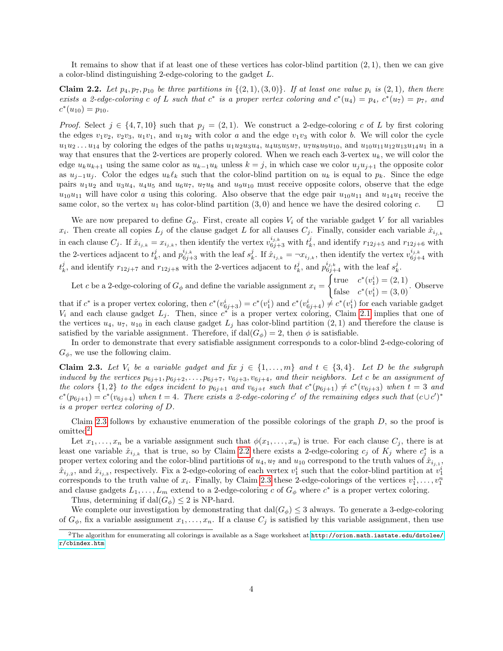It remains to show that if at least one of these vertices has color-blind partition (2, 1), then we can give a color-blind distinguishing 2-edge-coloring to the gadget L.

<span id="page-3-2"></span>**Claim 2.2.** Let  $p_4, p_7, p_{10}$  be three partitions in  $\{(2, 1), (3, 0)\}$ . If at least one value  $p_i$  is  $(2, 1)$ , then there exists a 2-edge-coloring c of L such that  $c^*$  is a proper vertex coloring and  $c^*(u_4) = p_4$ ,  $c^*(u_7) = p_7$ , and  $c^*(u_{10}) = p_{10}.$ 

*Proof.* Select  $j \in \{4, 7, 10\}$  such that  $p_j = (2, 1)$ . We construct a 2-edge-coloring c of L by first coloring the edges  $v_1v_2, v_2v_3, u_1v_1$ , and  $u_1u_2$  with color a and the edge  $v_1v_3$  with color b. We will color the cycle  $u_1u_2...u_{14}$  by coloring the edges of the paths  $u_1u_2u_3u_4$ ,  $u_4u_5u_5u_7$ ,  $u_7u_8u_9u_{10}$ , and  $u_{10}u_{11}u_{12}u_{13}u_{14}u_1$  in a way that ensures that the 2-vertices are properly colored. When we reach each 3-vertex  $u_k$ , we will color the edge  $u_k u_{k+1}$  using the same color as  $u_{k-1}u_k$  unless  $k = j$ , in which case we color  $u_j u_{j+1}$  the opposite color as  $u_{i-1}u_i$ . Color the edges  $u_k\ell_k$  such that the color-blind partition on  $u_k$  is equal to  $p_k$ . Since the edge pairs  $u_1u_2$  and  $u_3u_4$ ,  $u_4u_5$  and  $u_6u_7$ ,  $u_7u_8$  and  $u_9u_{10}$  must receive opposite colors, observe that the edge  $u_{10}u_{11}$  will have color a using this coloring. Also observe that the edge pair  $u_{10}u_{11}$  and  $u_{14}u_1$  receive the same color, so the vertex  $u_1$  has color-blind partition  $(3,0)$  and hence we have the desired coloring c.  $\Box$ 

We are now prepared to define  $G_{\phi}$ . First, create all copies  $V_i$  of the variable gadget V for all variables  $x_i$ . Then create all copies  $L_j$  of the clause gadget L for all clauses  $C_j$ . Finally, consider each variable  $\hat{x}_{i_{j,k}}$ in each clause  $C_j$ . If  $\hat{x}_{i_{j,k}} = x_{i_{j,k}}$ , then identify the vertex  $v_{6j+3}^{i_{j,k}}$  with  $t_k^j$ , and identify  $r_{12j+5}$  and  $r_{12j+6}$  with the 2-vertices adjacent to  $t_k^j$ , and  $p_{6j+3}^{i_{j,k}}$  with the leaf  $s_k^j$ . If  $\hat{x}_{i_{j,k}} = -x_{i_{j,k}}$ , then identify the vertex  $v_{6j+4}^{i_{j,k}}$  with  $t_k^j$ , and identify  $r_{12j+7}$  and  $r_{12j+8}$  with the 2-vertices adjacent to  $t_k^j$ , and  $p_{6j+4}^{i_{j,k}}$  with the leaf  $s_k^j$ .

Let c be a 2-edge-coloring of  $G_{\phi}$  and define the variable assignment  $x_i =$  $\int \text{true} \quad c^*(v_1^i) = (2, 1)$ false  $c^*(v_1^i) = (3, 0)$ . Observe

that if  $c^*$  is a proper vertex coloring, then  $c^*(v_{6j+3}^i) = c^*(v_1^i)$  and  $c^*(v_{6j+4}^i) \neq c^*(v_1^i)$  for each variable gadget  $V_i$  and each clause gadget  $L_j$ . Then, since  $c^*$  is a proper vertex coloring, Claim [2.1](#page-2-1) implies that one of the vertices  $u_4$ ,  $u_7$ ,  $u_{10}$  in each clause gadget  $L_i$  has color-blind partition  $(2, 1)$  and therefore the clause is satisfied by the variable assignment. Therefore, if  $dal(G_{\phi}) = 2$ , then  $\phi$  is satisfiable.

In order to demonstrate that every satisfiable assignment corresponds to a color-blind 2-edge-coloring of  $G_{\phi}$ , we use the following claim.

<span id="page-3-0"></span>Claim 2.3. Let  $V_i$  be a variable gadget and fix  $j \in \{1, \ldots, m\}$  and  $t \in \{3, 4\}$ . Let D be the subgraph induced by the vertices  $p_{6j+1}, p_{6j+2}, \ldots, p_{6j+7}, v_{6j+3}, v_{6j+4}$ , and their neighbors. Let c be an assignment of the colors  $\{1,2\}$  to the edges incident to  $p_{6j+1}$  and  $v_{6j+t}$  such that  $c^*(p_{6j+1}) \neq c^*(v_{6j+3})$  when  $t=3$  and  $c^*(p_{6j+1}) = c^*(v_{6j+4})$  when  $t = 4$ . There exists a 2-edge-coloring c' of the remaining edges such that  $(c \cup c')^*$ is a proper vertex coloring of D.

Claim [2.3](#page-3-0) follows by exhaustive enumeration of the possible colorings of the graph  $D$ , so the proof is  $omitted<sup>2</sup>$  $omitted<sup>2</sup>$  $omitted<sup>2</sup>$ .

Let  $x_1, \ldots, x_n$  be a variable assignment such that  $\phi(x_1, \ldots, x_n)$  is true. For each clause  $C_j$ , there is at least one variable  $\hat{x}_{i_j,k}$  that is true, so by Claim [2.2](#page-3-2) there exists a 2-edge-coloring  $c_j$  of  $K_j$  where  $c_j^*$  is a proper vertex coloring and the color-blind partitions of  $u_4, u_7$  and  $u_{10}$  correspond to the truth values of  $\hat{x}_{i_{j,1}},$  $\hat{x}_{i_{j,2}}$ , and  $\hat{x}_{i_{j,3}}$ , respectively. Fix a 2-edge-coloring of each vertex  $v_1^i$  such that the color-blind partition at  $v_1^i$ corresponds to the truth value of  $x_i$ . Finally, by Claim [2.3](#page-3-0) these 2-edge-colorings of the vertices  $v_1^1, \ldots, v_1^n$ and clause gadgets  $L_1, \ldots, L_m$  extend to a 2-edge-coloring c of  $G_\phi$  where  $c^*$  is a proper vertex coloring.

Thus, determining if  $dal(G_{\phi}) \leq 2$  is NP-hard.

We complete our investigation by demonstrating that  $\text{dal}(G_{\phi}) \leq 3$  always. To generate a 3-edge-coloring of  $G_{\phi}$ , fix a variable assignment  $x_1, \ldots, x_n$ . If a clause  $C_i$  is satisfied by this variable assignment, then use

<span id="page-3-1"></span> $^2$ The algorithm for enumerating all colorings is available as a Sage worksheet at  ${\tt http://orion.math.iastate.edu/dstolee/}$  ${\tt http://orion.math.iastate.edu/dstolee/}$  ${\tt http://orion.math.iastate.edu/dstolee/}$ [r/cbindex.htm](http://orion.math.iastate.edu/dstolee/r/cbindex.htm)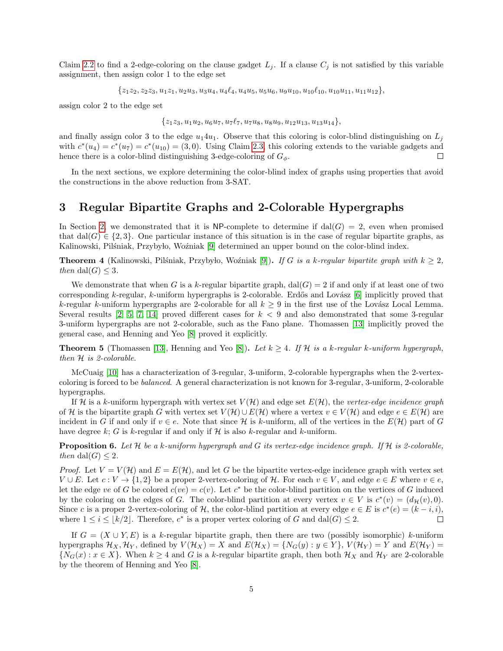Claim [2.2](#page-3-2) to find a 2-edge-coloring on the clause gadget  $L_i$ . If a clause  $C_i$  is not satisfied by this variable assignment, then assign color 1 to the edge set

 ${z_1z_2, z_2z_3, u_1z_1, u_2u_3, u_3u_4, u_4\ell_4, u_4u_5, u_5u_6, u_9u_{10}, u_{10}\ell_{10}, u_{10}u_{11}, u_{11}u_{12}\},$ 

assign color 2 to the edge set

 ${z_1z_3, u_1u_2, u_6u_7, u_7\ell_7, u_7u_8, u_8u_9, u_{12}u_{13}, u_{13}u_{14}},$ 

and finally assign color 3 to the edge  $u_14u_1$ . Observe that this coloring is color-blind distinguishing on  $L_i$ with  $c^*(u_4) = c^*(u_7) = c^*(u_{10}) = (3, 0)$ . Using Claim [2.3,](#page-3-0) this coloring extends to the variable gadgets and hence there is a color-blind distinguishing 3-edge-coloring of  $G_{\phi}$ .  $\Box$ 

In the next sections, we explore determining the color-blind index of graphs using properties that avoid the constructions in the above reduction from 3-SAT.

# <span id="page-4-0"></span>3 Regular Bipartite Graphs and 2-Colorable Hypergraphs

In Section [2,](#page-1-0) we demonstrated that it is NP-complete to determine if  $dal(G) = 2$ , even when promised that dal(G)  $\in \{2,3\}$ . One particular instance of this situation is in the case of regular bipartite graphs, as Kalinowski, Pilšniak, Przybyło, Woźniak [\[9\]](#page-9-1) determined an upper bound on the color-blind index.

**Theorem 4** (Kalinowski, Pilśniak, Przybyło, Woźniak [\[9\]](#page-9-1)). If G is a k-regular bipartite graph with  $k \geq 2$ , then dal(G)  $\leq$  3.

We demonstrate that when G is a k-regular bipartite graph,  $\text{dal}(G) = 2$  if and only if at least one of two corresponding k-regular, k-uniform hypergraphs is 2-colorable. Erdős and Lovász  $[6]$  implicitly proved that k-regular k-uniform hypergraphs are 2-colorable for all  $k \geq 9$  in the first use of the Lovász Local Lemma. Several results  $[2, 5, 7, 14]$  $[2, 5, 7, 14]$  $[2, 5, 7, 14]$  $[2, 5, 7, 14]$  proved different cases for  $k < 9$  and also demonstrated that some 3-regular 3-uniform hypergraphs are not 2-colorable, such as the Fano plane. Thomassen [\[13\]](#page-9-5) implicitly proved the general case, and Henning and Yeo [\[8\]](#page-9-6) proved it explicitly.

**Theorem 5** (Thomassen [\[13\]](#page-9-5), Henning and Yeo [\[8\]](#page-9-6)). Let  $k \geq 4$ . If H is a k-regular k-uniform hypergraph, then H is 2-colorable.

McCuaig [\[10\]](#page-9-13) has a characterization of 3-regular, 3-uniform, 2-colorable hypergraphs when the 2-vertexcoloring is forced to be balanced. A general characterization is not known for 3-regular, 3-uniform, 2-colorable hypergraphs.

If H is a k-uniform hypergraph with vertex set  $V(H)$  and edge set  $E(H)$ , the vertex-edge incidence graph of H is the bipartite graph G with vertex set  $V(H) \cup E(H)$  where a vertex  $v \in V(H)$  and edge  $e \in E(H)$  are incident in G if and only if  $v \in e$ . Note that since H is k-uniform, all of the vertices in the  $E(H)$  part of G have degree k; G is k-regular if and only if  $\mathcal H$  is also k-regular and k-uniform.

**Proposition 6.** Let  $H$  be a k-uniform hypergraph and G its vertex-edge incidence graph. If  $H$  is 2-colorable, then dal(G)  $\leq$  2.

*Proof.* Let  $V = V(\mathcal{H})$  and  $E = E(\mathcal{H})$ , and let G be the bipartite vertex-edge incidence graph with vertex set  $V \cup E$ . Let  $c : V \to \{1, 2\}$  be a proper 2-vertex-coloring of H. For each  $v \in V$ , and edge  $e \in E$  where  $v \in e$ , let the edge ve of G be colored  $c(ve) = c(v)$ . Let  $c^*$  be the color-blind partition on the vertices of G induced by the coloring on the edges of G. The color-blind partition at every vertex  $v \in V$  is  $c^*(v) = (d_{\mathcal{H}}(v), 0)$ . Since c is a proper 2-vertex-coloring of H, the color-blind partition at every edge  $e \in E$  is  $c^*(e) = (k - i, i)$ , where  $1 \leq i \leq |k/2|$ . Therefore,  $c^*$  is a proper vertex coloring of G and dal(G)  $\leq 2$ .  $\Box$ 

If  $G = (X \cup Y, E)$  is a k-regular bipartite graph, then there are two (possibly isomorphic) k-uniform hypergraphs  $\mathcal{H}_X, \mathcal{H}_Y$ , defined by  $V(\mathcal{H}_X) = X$  and  $E(\mathcal{H}_X) = \{N_G(y) : y \in Y\}$ ,  $V(\mathcal{H}_Y) = Y$  and  $E(\mathcal{H}_Y) = Y$  $\{N_G(x): x \in X\}$ . When  $k \geq 4$  and G is a k-regular bipartite graph, then both  $\mathcal{H}_X$  and  $\mathcal{H}_Y$  are 2-colorable by the theorem of Henning and Yeo [\[8\]](#page-9-6).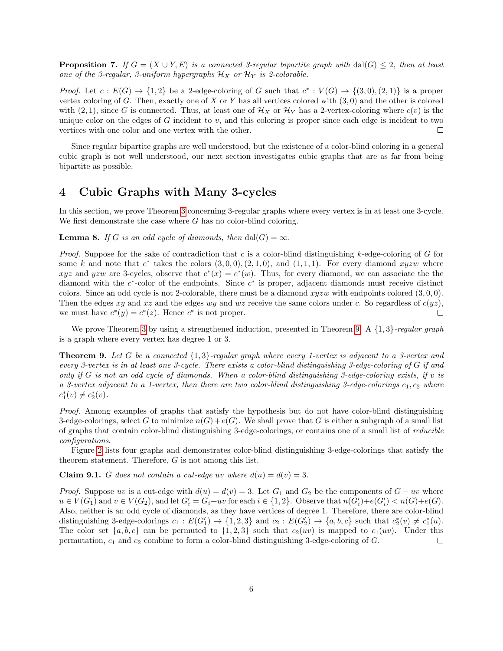**Proposition 7.** If  $G = (X \cup Y, E)$  is a connected 3-regular bipartite graph with dal(G)  $\leq$  2, then at least one of the 3-regular, 3-uniform hypergraphs  $\mathcal{H}_X$  or  $\mathcal{H}_Y$  is 2-colorable.

*Proof.* Let  $c: E(G) \to \{1,2\}$  be a 2-edge-coloring of G such that  $c^*: V(G) \to \{(3,0),(2,1)\}$  is a proper vertex coloring of G. Then, exactly one of X or Y has all vertices colored with  $(3,0)$  and the other is colored with (2, 1), since G is connected. Thus, at least one of  $\mathcal{H}_X$  or  $\mathcal{H}_Y$  has a 2-vertex-coloring where  $c(v)$  is the unique color on the edges of  $G$  incident to  $v$ , and this coloring is proper since each edge is incident to two vertices with one color and one vertex with the other.  $\Box$ 

Since regular bipartite graphs are well understood, but the existence of a color-blind coloring in a general cubic graph is not well understood, our next section investigates cubic graphs that are as far from being bipartite as possible.

### <span id="page-5-0"></span>4 Cubic Graphs with Many 3-cycles

In this section, we prove Theorem [3](#page-1-3) concerning 3-regular graphs where every vertex is in at least one 3-cycle. We first demonstrate the case where  $G$  has no color-blind coloring.

**Lemma 8.** If G is an odd cycle of diamonds, then dal(G) =  $\infty$ .

*Proof.* Suppose for the sake of contradiction that c is a color-blind distinguishing k-edge-coloring of G for some k and note that  $c^*$  takes the colors  $(3,0,0), (2,1,0)$ , and  $(1,1,1)$ . For every diamond xyzw where xyz and yzw are 3-cycles, observe that  $c^*(x) = c^*(w)$ . Thus, for every diamond, we can associate the the diamond with the  $c^*$ -color of the endpoints. Since  $c^*$  is proper, adjacent diamonds must receive distinct colors. Since an odd cycle is not 2-colorable, there must be a diamond  $xyzw$  with endpoints colored  $(3, 0, 0)$ . Then the edges xy and xz and the edges wy and wz receive the same colors under c. So regardless of  $c(yz)$ , we must have  $c^*(y) = c^*(z)$ . Hence  $c^*$  is not proper.  $\Box$ 

We prove Theorem [3](#page-1-3) by using a strengthened induction, presented in Theorem [9.](#page-5-1) A  $\{1,3\}$ -regular graph is a graph where every vertex has degree 1 or 3.

<span id="page-5-1"></span>**Theorem 9.** Let G be a connected  $\{1,3\}$ -regular graph where every 1-vertex is adjacent to a 3-vertex and every 3-vertex is in at least one 3-cycle. There exists a color-blind distinguishing 3-edge-coloring of G if and only if G is not an odd cycle of diamonds. When a color-blind distinguishing 3-edge-coloring exists, if v is a 3-vertex adjacent to a 1-vertex, then there are two color-blind distinguishing 3-edge-colorings  $c_1, c_2$  where  $c_1^*(v) \neq c_2^*(v)$ .

Proof. Among examples of graphs that satisfy the hypothesis but do not have color-blind distinguishing 3-edge-colorings, select G to minimize  $n(G)+e(G)$ . We shall prove that G is either a subgraph of a small list of graphs that contain color-blind distinguishing 3-edge-colorings, or contains one of a small list of reducible configurations.

Figure [2](#page-6-0) lists four graphs and demonstrates color-blind distinguishing 3-edge-colorings that satisfy the theorem statement. Therefore, G is not among this list.

<span id="page-5-2"></span>**Claim 9.1.** G does not contain a cut-edge uv where  $d(u) = d(v) = 3$ .

*Proof.* Suppose uv is a cut-edge with  $d(u) = d(v) = 3$ . Let  $G_1$  and  $G_2$  be the components of  $G - uv$  where  $u \in V(G_1)$  and  $v \in V(G_2)$ , and let  $G_i' = G_i + uv$  for each  $i \in \{1, 2\}$ . Observe that  $n(G_i') + e(G_i') < n(G) + e(G)$ . Also, neither is an odd cycle of diamonds, as they have vertices of degree 1. Therefore, there are color-blind distinguishing 3-edge-colorings  $c_1 : E(G'_1) \to \{1, 2, 3\}$  and  $c_2 : E(G'_2) \to \{a, b, c\}$  such that  $c_2^*(v) \neq c_1^*(u)$ . The color set  $\{a, b, c\}$  can be permuted to  $\{1, 2, 3\}$  such that  $c_2(uv)$  is mapped to  $c_1(uv)$ . Under this permutation,  $c_1$  and  $c_2$  combine to form a color-blind distinguishing 3-edge-coloring of  $G$ .  $\Box$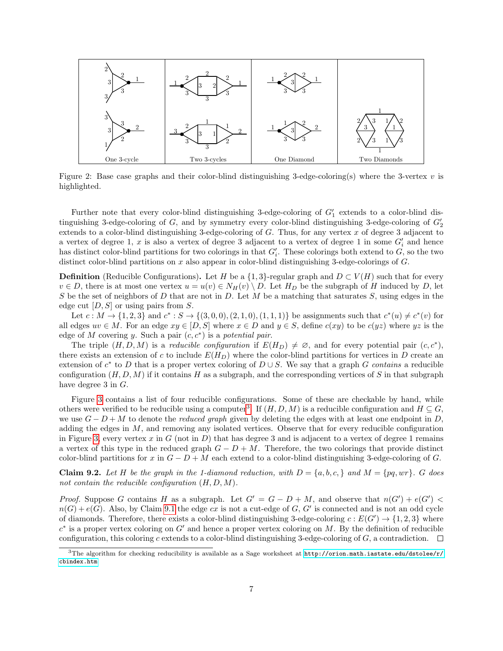

<span id="page-6-0"></span>Figure 2: Base case graphs and their color-blind distinguishing 3-edge-coloring(s) where the 3-vertex  $v$  is highlighted.

Further note that every color-blind distinguishing 3-edge-coloring of  $G'_{1}$  extends to a color-blind distinguishing 3-edge-coloring of  $G$ , and by symmetry every color-blind distinguishing 3-edge-coloring of  $G_2'$ extends to a color-blind distinguishing 3-edge-coloring of  $G$ . Thus, for any vertex  $x$  of degree 3 adjacent to a vertex of degree 1, x is also a vertex of degree 3 adjacent to a vertex of degree 1 in some  $G_i'$  and hence has distinct color-blind partitions for two colorings in that  $G_i'$ . These colorings both extend to  $G$ , so the two distinct color-blind partitions on x also appear in color-blind distinguishing 3-edge-colorings of G.

**Definition** (Reducible Configurations). Let H be a  $\{1,3\}$ -regular graph and  $D \subset V(H)$  such that for every  $v \in D$ , there is at most one vertex  $u = u(v) \in N_H(v) \setminus D$ . Let  $H_D$  be the subgraph of H induced by D, let S be the set of neighbors of D that are not in D. Let M be a matching that saturates S, using edges in the edge cut  $[D, S]$  or using pairs from S.

Let  $c: M \to \{1, 2, 3\}$  and  $c^*: S \to \{(3, 0, 0), (2, 1, 0), (1, 1, 1)\}$  be assignments such that  $c^*(u) \neq c^*(v)$  for all edges  $uv \in M$ . For an edge  $xy \in [D, S]$  where  $x \in D$  and  $y \in S$ , define  $c(xy)$  to be  $c(yz)$  where  $yz$  is the edge of M covering y. Such a pair  $(c, c^*)$  is a potential pair.

The triple  $(H, D, M)$  is a reducible configuration if  $E(H_D) \neq \emptyset$ , and for every potential pair  $(c, c^*)$ , there exists an extension of c to include  $E(H_D)$  where the color-blind partitions for vertices in D create an extension of  $c^*$  to D that is a proper vertex coloring of  $D \cup S$ . We say that a graph G contains a reducible configuration  $(H, D, M)$  if it contains H as a subgraph, and the corresponding vertices of S in that subgraph have degree 3 in G.

Figure [3](#page-7-0) contains a list of four reducible configurations. Some of these are checkable by hand, while others were verified to be reducible using a computer<sup>[3](#page-6-1)</sup>. If  $(H, D, M)$  is a reducible configuration and  $H \subseteq G$ , we use  $G - D + M$  to denote the *reduced graph* given by deleting the edges with at least one endpoint in D, adding the edges in  $M$ , and removing any isolated vertices. Observe that for every reducible configuration in Figure [3,](#page-7-0) every vertex x in  $G$  (not in  $D$ ) that has degree 3 and is adjacent to a vertex of degree 1 remains a vertex of this type in the reduced graph  $G - D + M$ . Therefore, the two colorings that provide distinct color-blind partitions for x in  $G - D + M$  each extend to a color-blind distinguishing 3-edge-coloring of G.

**Claim 9.2.** Let H be the graph in the 1-diamond reduction, with  $D = \{a, b, c, \}$  and  $M = \{pq, wr\}$ . G does not contain the reducible configuration  $(H, D, M)$ .

*Proof.* Suppose G contains H as a subgraph. Let  $G' = G - D + M$ , and observe that  $n(G') + e(G')$  $n(G) + e(G)$ . Also, by Claim [9.1](#page-5-2) the edge cx is not a cut-edge of G, G' is connected and is not an odd cycle of diamonds. Therefore, there exists a color-blind distinguishing 3-edge-coloring  $c: E(G') \to \{1, 2, 3\}$  where  $c^*$  is a proper vertex coloring on  $G'$  and hence a proper vertex coloring on M. By the definition of reducible configuration, this coloring c extends to a color-blind distinguishing 3-edge-coloring of  $G$ , a contradiction.  $\Box$ 

<span id="page-6-1"></span><sup>&</sup>lt;sup>3</sup>The algorithm for checking reducibility is available as a Sage worksheet at [http://orion.math.iastate.edu/dstolee/r/](http://orion.math.iastate.edu/dstolee/r/cbindex.htm) [cbindex.htm](http://orion.math.iastate.edu/dstolee/r/cbindex.htm)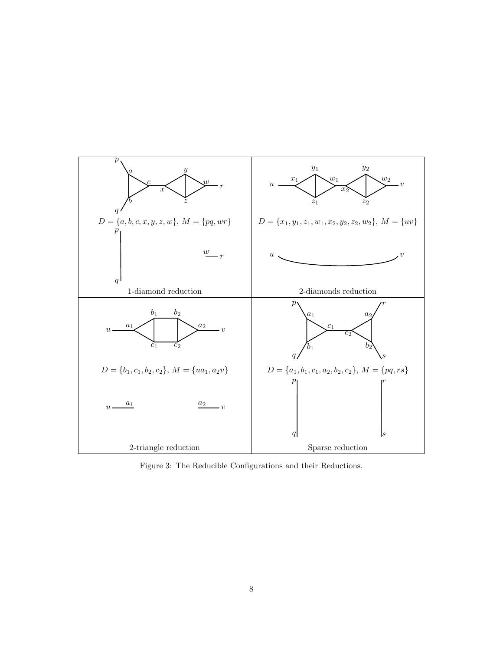

<span id="page-7-0"></span>Figure 3: The Reducible Configurations and their Reductions.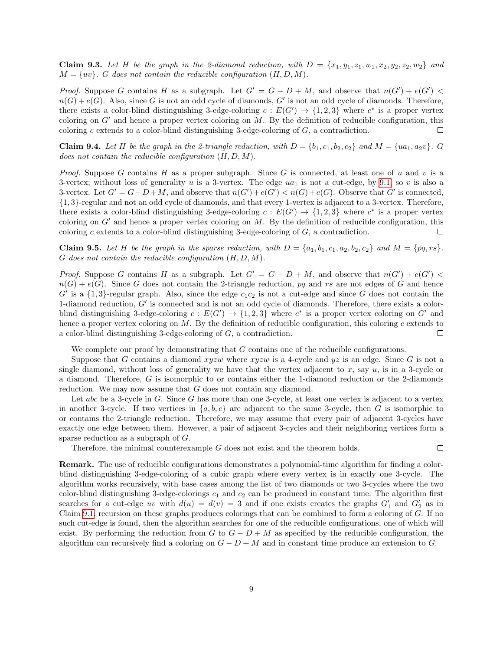Claim 9.3. Let H be the graph in the 2-diamond reduction, with  $D = \{x_1, y_1, z_1, w_1, x_2, y_2, z_2, w_2\}$  and  $M = \{uv\}$ . G does not contain the reducible configuration  $(H, D, M)$ .

*Proof.* Suppose G contains H as a subgraph. Let  $G' = G - D + M$ , and observe that  $n(G') + e(G')$  $n(G) + e(G)$ . Also, since G is not an odd cycle of diamonds, G' is not an odd cycle of diamonds. Therefore, there exists a color-blind distinguishing 3-edge-coloring  $c: E(G') \to \{1,2,3\}$  where  $c^*$  is a proper vertex coloring on  $G'$  and hence a proper vertex coloring on M. By the definition of reducible configuration, this coloring  $c$  extends to a color-blind distinguishing 3-edge-coloring of  $G$ , a contradiction.  $\Box$ 

**Claim 9.4.** Let H be the graph in the 2-triangle reduction, with  $D = \{b_1, c_1, b_2, c_2\}$  and  $M = \{ua_1, a_2v\}$ . G does not contain the reducible configuration  $(H, D, M)$ .

*Proof.* Suppose G contains H as a proper subgraph. Since G is connected, at least one of u and v is a 3-vertex; without loss of generality u is a 3-vertex. The edge  $ua_1$  is not a cut-edge, by [9.1,](#page-5-2) so v is also a 3-vertex. Let  $G' = G - D + M$ , and observe that  $n(G') + e(G') < n(G) + e(G)$ . Observe that G' is connected, {1, 3}-regular and not an odd cycle of diamonds, and that every 1-vertex is adjacent to a 3-vertex. Therefore, there exists a color-blind distinguishing 3-edge-coloring  $c: E(G') \to \{1,2,3\}$  where  $c^*$  is a proper vertex coloring on  $G'$  and hence a proper vertex coloring on M. By the definition of reducible configuration, this coloring c extends to a color-blind distinguishing 3-edge-coloring of  $G$ , a contradiction.  $\Box$ 

Claim 9.5. Let H be the graph in the sparse reduction, with  $D = \{a_1, b_1, c_1, a_2, b_2, c_2\}$  and  $M = \{pq, rs\}.$  $G$  does not contain the reducible configuration  $(H, D, M)$ .

*Proof.* Suppose G contains H as a subgraph. Let  $G' = G - D + M$ , and observe that  $n(G') + e(G')$  $n(G) + e(G)$ . Since G does not contain the 2-triangle reduction, pq and rs are not edges of G and hence  $G'$  is a  $\{1,3\}$ -regular graph. Also, since the edge  $c_1c_2$  is not a cut-edge and since G does not contain the 1-diamond reduction,  $G'$  is connected and is not an odd cycle of diamonds. Therefore, there exists a colorblind distinguishing 3-edge-coloring  $c: E(G') \to \{1,2,3\}$  where  $c^*$  is a proper vertex coloring on G' and hence a proper vertex coloring on  $M$ . By the definition of reducible configuration, this coloring c extends to a color-blind distinguishing 3-edge-coloring of G, a contradiction. П

We complete our proof by demonstrating that G contains one of the reducible configurations.

Suppose that G contains a diamond  $xyzw$  where  $xyzw$  is a 4-cycle and  $yz$  is an edge. Since G is not a single diamond, without loss of generality we have that the vertex adjacent to  $x$ , say  $u$ , is in a 3-cycle or a diamond. Therefore, G is isomorphic to or contains either the 1-diamond reduction or the 2-diamonds reduction. We may now assume that G does not contain any diamond.

Let abc be a 3-cycle in G. Since G has more than one 3-cycle, at least one vertex is adjacent to a vertex in another 3-cycle. If two vertices in  $\{a, b, c\}$  are adjacent to the same 3-cycle, then G is isomorphic to or contains the 2-triangle reduction. Therefore, we may assume that every pair of adjacent 3-cycles have exactly one edge between them. However, a pair of adjacent 3-cycles and their neighboring vertices form a sparse reduction as a subgraph of G.

 $\Box$ 

Therefore, the minimal counterexample G does not exist and the theorem holds.

Remark. The use of reducible configurations demonstrates a polynomial-time algorithm for finding a colorblind distinguishing 3-edge-coloring of a cubic graph where every vertex is in exactly one 3-cycle. The algorithm works recursively, with base cases among the list of two diamonds or two 3-cycles where the two color-blind distinguishing 3-edge-colorings  $c_1$  and  $c_2$  can be produced in constant time. The algorithm first searches for a cut-edge uv with  $d(u) = d(v) = 3$  and if one exists creates the graphs  $G'_1$  and  $G'_2$  as in Claim [9.1;](#page-5-2) recursion on these graphs produces colorings that can be combined to form a coloring of G. If no such cut-edge is found, then the algorithm searches for one of the reducible configurations, one of which will exist. By performing the reduction from G to  $G - D + M$  as specified by the reducible configuration, the algorithm can recursively find a coloring on  $G - D + M$  and in constant time produce an extension to G.